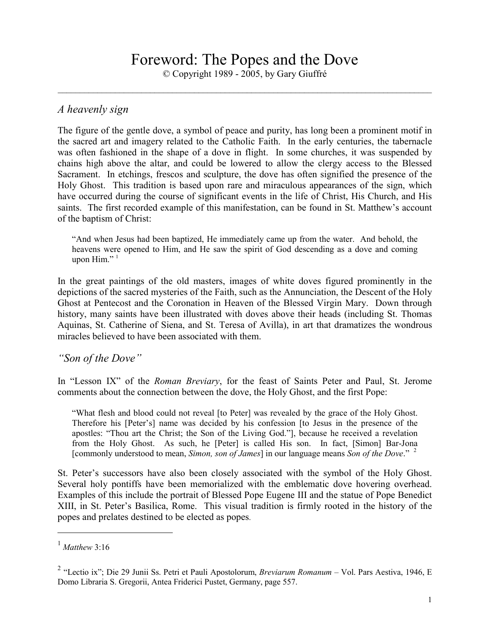# Foreword: The Popes and the Dove

© Copyright 1989 - 2005, by Gary Giuffré \_\_\_\_\_\_\_\_\_\_\_\_\_\_\_\_\_\_\_\_\_\_\_\_\_\_\_\_\_\_\_\_\_\_\_\_\_\_\_\_\_\_\_\_\_\_\_\_\_\_\_\_\_\_\_\_\_\_\_\_\_\_\_\_\_\_\_\_\_\_\_\_\_\_\_\_\_\_\_\_\_\_\_\_\_

### *A heavenly sign*

The figure of the gentle dove, a symbol of peace and purity, has long been a prominent motif in the sacred art and imagery related to the Catholic Faith. In the early centuries, the tabernacle was often fashioned in the shape of a dove in flight. In some churches, it was suspended by chains high above the altar, and could be lowered to allow the clergy access to the Blessed Sacrament. In etchings, frescos and sculpture, the dove has often signified the presence of the Holy Ghost. This tradition is based upon rare and miraculous appearances of the sign, which have occurred during the course of significant events in the life of Christ, His Church, and His saints. The first recorded example of this manifestation, can be found in St. Matthew's account of the baptism of Christ:

"And when Jesus had been baptized, He immediately came up from the water. And behold, the heavens were opened to Him, and He saw the spirit of God descending as a dove and coming upon Him." $1$ 

In the great paintings of the old masters, images of white doves figured prominently in the depictions of the sacred mysteries of the Faith, such as the Annunciation, the Descent of the Holy Ghost at Pentecost and the Coronation in Heaven of the Blessed Virgin Mary. Down through history, many saints have been illustrated with doves above their heads (including St. Thomas Aquinas, St. Catherine of Siena, and St. Teresa of Avilla), in art that dramatizes the wondrous miracles believed to have been associated with them.

*"Son of the Dove"* 

In "Lesson IX" of the *Roman Breviary*, for the feast of Saints Peter and Paul, St. Jerome comments about the connection between the dove, the Holy Ghost, and the first Pope:

"What flesh and blood could not reveal [to Peter] was revealed by the grace of the Holy Ghost. Therefore his [Peter's] name was decided by his confession [to Jesus in the presence of the apostles: "Thou art the Christ; the Son of the Living God."], because he received a revelation from the Holy Ghost. As such, he [Peter] is called His son. In fact, [Simon] Bar-Jona [commonly understood to mean, *Simon, son of James*] in our language means *Son of the Dove*." <sup>2</sup>

St. Peter's successors have also been closely associated with the symbol of the Holy Ghost. Several holy pontiffs have been memorialized with the emblematic dove hovering overhead. Examples of this include the portrait of Blessed Pope Eugene III and the statue of Pope Benedict XIII, in St. Peter's Basilica, Rome. This visual tradition is firmly rooted in the history of the popes and prelates destined to be elected as popes.

-

<sup>1</sup> *Matthew* 3:16

<sup>2</sup> "Lectio ix"; Die 29 Junii Ss. Petri et Pauli Apostolorum, *Breviarum Romanum –* Vol. Pars Aestiva, 1946, E Domo Libraria S. Gregorii, Antea Friderici Pustet, Germany, page 557.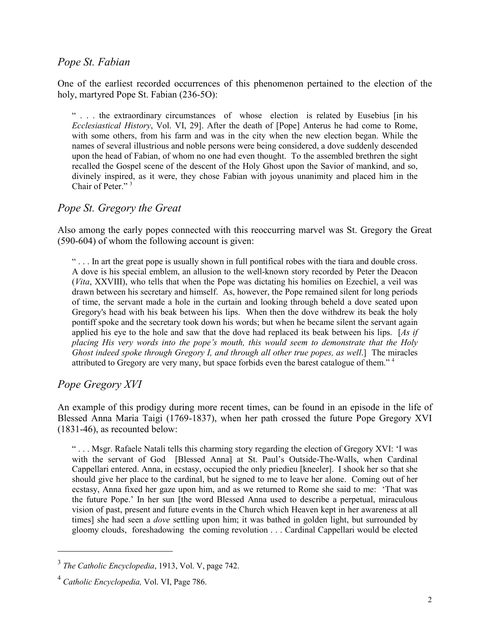### *Pope St. Fabian*

One of the earliest recorded occurrences of this phenomenon pertained to the election of the holy, martyred Pope St. Fabian (236-5O):

" . . . the extraordinary circumstances of whose election is related by Eusebius [in his *Ecclesiastical History*, Vol. VI, 29]. After the death of [Pope] Anterus he had come to Rome, with some others, from his farm and was in the city when the new election began. While the names of several illustrious and noble persons were being considered, a dove suddenly descended upon the head of Fabian, of whom no one had even thought. To the assembled brethren the sight recalled the Gospel scene of the descent of the Holy Ghost upon the Savior of mankind, and so, divinely inspired, as it were, they chose Fabian with joyous unanimity and placed him in the Chair of Peter." <sup>3</sup>

# *Pope St. Gregory the Great*

Also among the early popes connected with this reoccurring marvel was St. Gregory the Great (590-604) of whom the following account is given:

" . . . In art the great pope is usually shown in full pontifical robes with the tiara and double cross. A dove is his special emblem, an allusion to the well-known story recorded by Peter the Deacon (*Vita*, XXVIII), who tells that when the Pope was dictating his homilies on Ezechiel, a veil was drawn between his secretary and himself. As, however, the Pope remained silent for long periods of time, the servant made a hole in the curtain and looking through beheld a dove seated upon Gregory's head with his beak between his lips. When then the dove withdrew its beak the holy pontiff spoke and the secretary took down his words; but when he became silent the servant again applied his eye to the hole and saw that the dove had replaced its beak between his lips. [*As if placing His very words into the pope's mouth, this would seem to demonstrate that the Holy Ghost indeed spoke through Gregory I, and through all other true popes, as well*.] The miracles attributed to Gregory are very many, but space forbids even the barest catalogue of them." <sup>4</sup>

# *Pope Gregory XVI*

-

An example of this prodigy during more recent times, can be found in an episode in the life of Blessed Anna Maria Taigi (1769-1837), when her path crossed the future Pope Gregory XVI (1831-46), as recounted below:

" . . . Msgr. Rafaele Natali tells this charming story regarding the election of Gregory XVI: 'I was with the servant of God [Blessed Anna] at St. Paul's Outside-The-Walls, when Cardinal Cappellari entered. Anna, in ecstasy, occupied the only priedieu [kneeler]. I shook her so that she should give her place to the cardinal, but he signed to me to leave her alone. Coming out of her ecstasy, Anna fixed her gaze upon him, and as we returned to Rome she said to me: 'That was the future Pope.' In her sun [the word Blessed Anna used to describe a perpetual, miraculous vision of past, present and future events in the Church which Heaven kept in her awareness at all times] she had seen a *dove* settling upon him; it was bathed in golden light, but surrounded by gloomy clouds, foreshadowing the coming revolution . . . Cardinal Cappellari would be elected

<sup>3</sup> *The Catholic Encyclopedia*, 1913, Vol. V, page 742.

<sup>4</sup> *Catholic Encyclopedia,* Vol. VI, Page 786.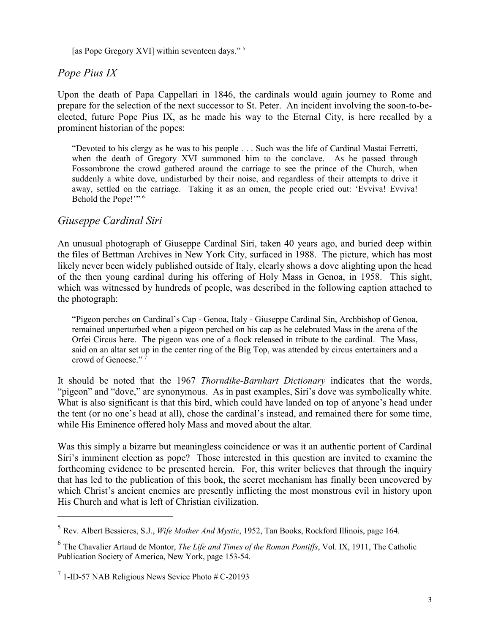[as Pope Gregory XVI] within seventeen days."<sup>5</sup>

# *Pope Pius IX*

Upon the death of Papa Cappellari in 1846, the cardinals would again journey to Rome and prepare for the selection of the next successor to St. Peter. An incident involving the soon-to-beelected, future Pope Pius IX, as he made his way to the Eternal City, is here recalled by a prominent historian of the popes:

"Devoted to his clergy as he was to his people . . . Such was the life of Cardinal Mastai Ferretti, when the death of Gregory XVI summoned him to the conclave. As he passed through Fossombrone the crowd gathered around the carriage to see the prince of the Church, when suddenly a white dove, undisturbed by their noise, and regardless of their attempts to drive it away, settled on the carriage. Taking it as an omen, the people cried out: 'Evviva! Evviva! Behold the Pope!"<sup>6</sup>

#### *Giuseppe Cardinal Siri*

An unusual photograph of Giuseppe Cardinal Siri, taken 40 years ago, and buried deep within the files of Bettman Archives in New York City, surfaced in 1988. The picture, which has most likely never been widely published outside of Italy, clearly shows a dove alighting upon the head of the then young cardinal during his offering of Holy Mass in Genoa, in 1958. This sight, which was witnessed by hundreds of people, was described in the following caption attached to the photograph:

"Pigeon perches on Cardinal's Cap - Genoa, Italy - Giuseppe Cardinal Sin, Archbishop of Genoa, remained unperturbed when a pigeon perched on his cap as he celebrated Mass in the arena of the Orfei Circus here. The pigeon was one of a flock released in tribute to the cardinal. The Mass, said on an altar set up in the center ring of the Big Top, was attended by circus entertainers and a crowd of Genoese."<sup>7</sup>

It should be noted that the 1967 *Thorndike-Barnhart Dictionary* indicates that the words, "pigeon" and "dove," are synonymous. As in past examples, Siri's dove was symbolically white. What is also significant is that this bird, which could have landed on top of anyone's head under the tent (or no one's head at all), chose the cardinal's instead, and remained there for some time, while His Eminence offered holy Mass and moved about the altar.

Was this simply a bizarre but meaningless coincidence or was it an authentic portent of Cardinal Siri's imminent election as pope? Those interested in this question are invited to examine the forthcoming evidence to be presented herein. For, this writer believes that through the inquiry that has led to the publication of this book, the secret mechanism has finally been uncovered by which Christ's ancient enemies are presently inflicting the most monstrous evil in history upon His Church and what is left of Christian civilization.

 $\overline{a}$ 

<sup>5</sup> Rev. Albert Bessieres, S.J., *Wife Mother And Mystic*, 1952, Tan Books, Rockford Illinois, page 164.

<sup>6</sup> The Chavalier Artaud de Montor, *The Life and Times of the Roman Pontiffs*, Vol. IX, 1911, The Catholic Publication Society of America, New York, page 153-54.

 $<sup>7</sup>$  1-ID-57 NAB Religious News Sevice Photo # C-20193</sup>